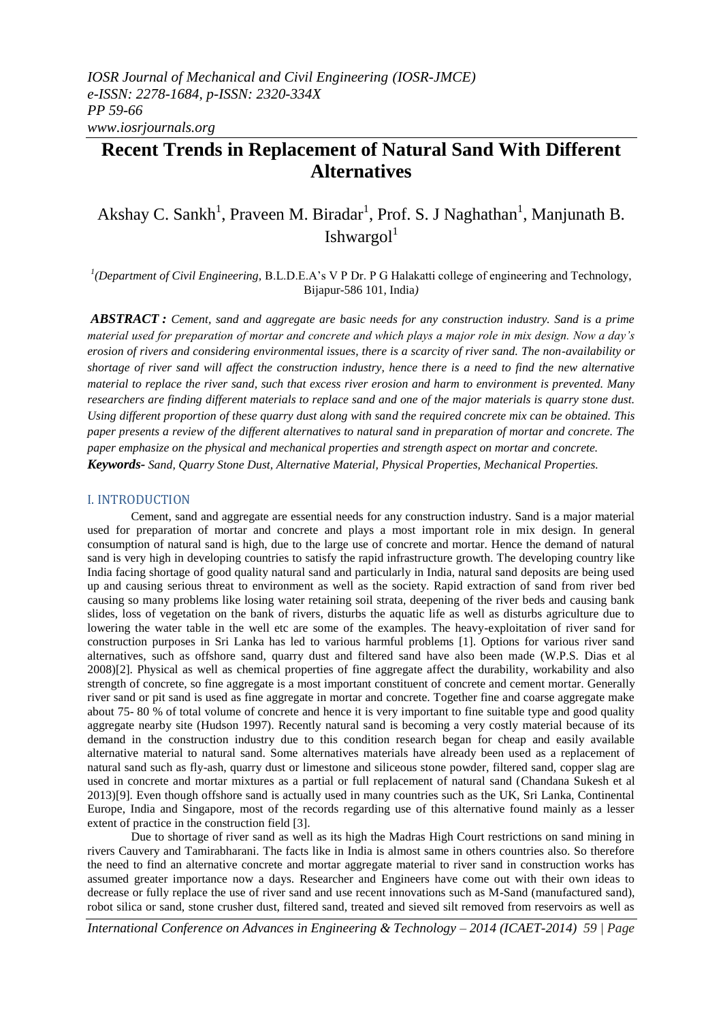# **Recent Trends in Replacement of Natural Sand With Different Alternatives**

# Akshay C. Sankh<sup>1</sup>, Praveen M. Biradar<sup>1</sup>, Prof. S. J Naghathan<sup>1</sup>, Manjunath B. Ishwargol<sup>1</sup>

<sup>1</sup>(Department of Civil Engineering, B.L.D.E.A's V P Dr. P G Halakatti college of engineering and Technology, Bijapur-586 101, India*)*

*ABSTRACT : Cement, sand and aggregate are basic needs for any construction industry. Sand is a prime material used for preparation of mortar and concrete and which plays a major role in mix design. Now a day's erosion of rivers and considering environmental issues, there is a scarcity of river sand. The non-availability or shortage of river sand will affect the construction industry, hence there is a need to find the new alternative material to replace the river sand, such that excess river erosion and harm to environment is prevented. Many researchers are finding different materials to replace sand and one of the major materials is quarry stone dust. Using different proportion of these quarry dust along with sand the required concrete mix can be obtained. This paper presents a review of the different alternatives to natural sand in preparation of mortar and concrete. The paper emphasize on the physical and mechanical properties and strength aspect on mortar and concrete. Keywords- Sand, Quarry Stone Dust, Alternative Material, Physical Properties, Mechanical Properties.*

#### I. INTRODUCTION

Cement, sand and aggregate are essential needs for any construction industry. Sand is a major material used for preparation of mortar and concrete and plays a most important role in mix design. In general consumption of natural sand is high, due to the large use of concrete and mortar. Hence the demand of natural sand is very high in developing countries to satisfy the rapid infrastructure growth. The developing country like India facing shortage of good quality natural sand and particularly in India, natural sand deposits are being used up and causing serious threat to environment as well as the society. Rapid extraction of sand from river bed causing so many problems like losing water retaining soil strata, deepening of the river beds and causing bank slides, loss of vegetation on the bank of rivers, disturbs the aquatic life as well as disturbs agriculture due to lowering the water table in the well etc are some of the examples. The heavy-exploitation of river sand for construction purposes in Sri Lanka has led to various harmful problems [1]. Options for various river sand alternatives, such as offshore sand, quarry dust and filtered sand have also been made (W.P.S. Dias et al 2008)[2]. Physical as well as chemical properties of fine aggregate affect the durability, workability and also strength of concrete, so fine aggregate is a most important constituent of concrete and cement mortar. Generally river sand or pit sand is used as fine aggregate in mortar and concrete. Together fine and coarse aggregate make about 75- 80 % of total volume of concrete and hence it is very important to fine suitable type and good quality aggregate nearby site (Hudson 1997). Recently natural sand is becoming a very costly material because of its demand in the construction industry due to this condition research began for cheap and easily available alternative material to natural sand. Some alternatives materials have already been used as a replacement of natural sand such as fly-ash, quarry dust or limestone and siliceous stone powder, filtered sand, copper slag are used in concrete and mortar mixtures as a partial or full replacement of natural sand (Chandana Sukesh et al 2013)[9]. Even though offshore sand is actually used in many countries such as the UK, Sri Lanka, Continental Europe, India and Singapore, most of the records regarding use of this alternative found mainly as a lesser extent of practice in the construction field [3].

Due to shortage of river sand as well as its high the Madras High Court restrictions on sand mining in rivers Cauvery and Tamirabharani. The facts like in India is almost same in others countries also. So therefore the need to find an alternative concrete and mortar aggregate material to river sand in construction works has assumed greater importance now a days. Researcher and Engineers have come out with their own ideas to decrease or fully replace the use of river sand and use recent innovations such as M-Sand (manufactured sand), robot silica or sand, stone crusher dust, filtered sand, treated and sieved silt removed from reservoirs as well as

*International Conference on Advances in Engineering & Technology – 2014 (ICAET-2014) 59 | Page*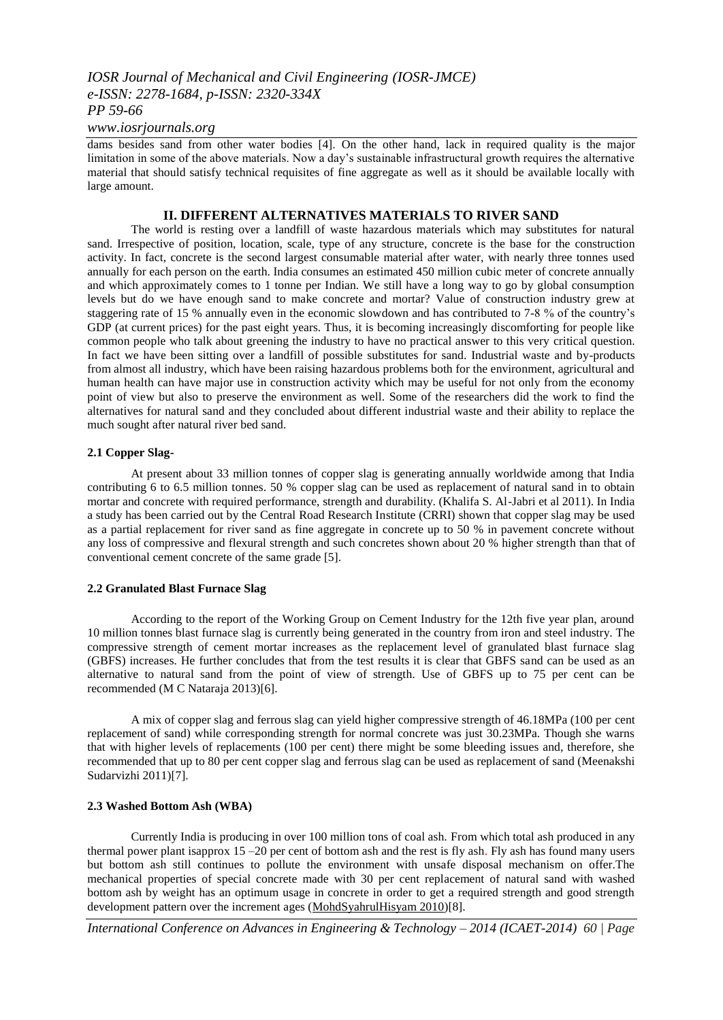#### *www.iosrjournals.org*

dams besides sand from other water bodies [4]. On the other hand, lack in required quality is the major limitation in some of the above materials. Now a day's sustainable infrastructural growth requires the alternative material that should satisfy technical requisites of fine aggregate as well as it should be available locally with large amount.

#### **II. DIFFERENT ALTERNATIVES MATERIALS TO RIVER SAND**

The world is resting over a landfill of waste hazardous materials which may substitutes for natural sand. Irrespective of position, location, scale, type of any structure, concrete is the base for the construction activity. In fact, concrete is the second largest consumable material after water, with nearly three tonnes used annually for each person on the earth. India consumes an estimated 450 million cubic meter of concrete annually and which approximately comes to 1 tonne per Indian. We still have a long way to go by global consumption levels but do we have enough sand to make concrete and mortar? Value of construction industry grew at staggering rate of 15 % annually even in the economic slowdown and has contributed to 7-8 % of the country's GDP (at current prices) for the past eight years. Thus, it is becoming increasingly discomforting for people like common people who talk about greening the industry to have no practical answer to this very critical question. In fact we have been sitting over a landfill of possible substitutes for sand. Industrial waste and by-products from almost all industry, which have been raising hazardous problems both for the environment, agricultural and human health can have major use in construction activity which may be useful for not only from the economy point of view but also to preserve the environment as well. Some of the researchers did the work to find the alternatives for natural sand and they concluded about different industrial waste and their ability to replace the much sought after natural river bed sand.

#### **2.1 Copper Slag-**

At present about 33 million tonnes of copper slag is generating annually worldwide among that India contributing 6 to 6.5 million tonnes. 50 % copper slag can be used as replacement of natural sand in to obtain mortar and concrete with required performance, strength and durability. (Khalifa S. Al-Jabri et al 2011). In India a study has been carried out by the Central Road Research Institute (CRRI) shown that copper slag may be used as a partial replacement for river sand as fine aggregate in concrete up to 50 % in pavement concrete without any loss of compressive and flexural strength and such concretes shown about 20 % higher strength than that of conventional cement concrete of the same grade [5].

#### **2.2 Granulated Blast Furnace Slag**

According to the report of the Working Group on Cement Industry for the 12th five year plan, around 10 million tonnes blast furnace slag is currently being generated in the country from iron and steel industry. The compressive strength of cement mortar increases as the replacement level of granulated blast furnace slag (GBFS) increases. He further concludes that from the test results it is clear that GBFS sand can be used as an alternative to natural sand from the point of view of strength. Use of GBFS up to 75 per cent can be recommended (M C Nataraja 2013)[6].

A mix of copper slag and ferrous slag can yield higher compressive strength of 46.18MPa (100 per cent replacement of sand) while corresponding strength for normal concrete was just 30.23MPa. Though she warns that with higher levels of replacements (100 per cent) there might be some bleeding issues and, therefore, she recommended that up to 80 per cent copper slag and ferrous slag can be used as replacement of sand (Meenakshi Sudarvizhi 2011)[7].

#### **2.3 Washed Bottom Ash (WBA)**

Currently India is producing in over 100 million tons of coal ash. From which total ash produced in any thermal power plant isapprox 15 –20 per cent of bottom ash and the rest is fly ash. Fly ash has found many users but bottom ash still continues to pollute the environment with unsafe disposal mechanism on offer.The mechanical properties of special concrete made with 30 per cent replacement of natural sand with washed bottom ash by weight has an optimum usage in concrete in order to get a required strength and good strength development pattern over the increment ages [\(MohdSyahrulHisyam 2010\)](http://penerbit.uthm.edu.my/ojs/index.php/IJSCET/article/viewFile/64/20)[8].

*International Conference on Advances in Engineering & Technology – 2014 (ICAET-2014) 60 | Page*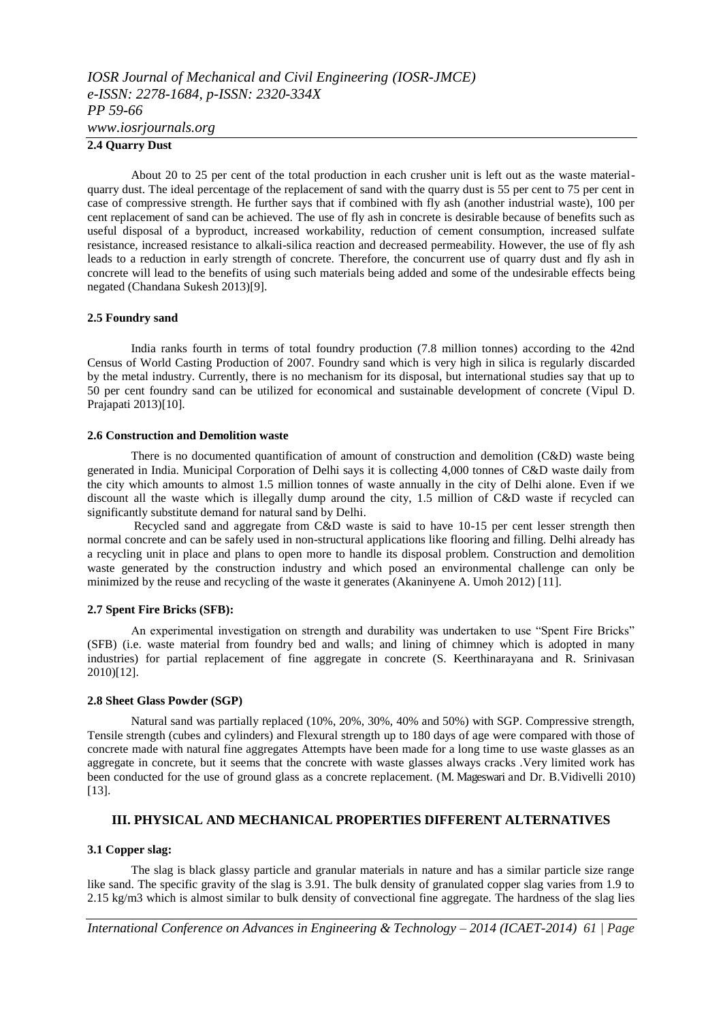#### **2.4 Quarry Dust**

About 20 to 25 per cent of the total production in each crusher unit is left out as the waste materialquarry dust. The ideal percentage of the replacement of sand with the quarry dust is 55 per cent to 75 per cent in case of compressive strength. He further says that if combined with fly ash (another industrial waste), 100 per cent replacement of sand can be achieved. The use of fly ash in concrete is desirable because of benefits such as useful disposal of a byproduct, increased workability, reduction of cement consumption, increased sulfate resistance, increased resistance to alkali-silica reaction and decreased permeability. However, the use of fly ash leads to a reduction in early strength of concrete. Therefore, the concurrent use of quarry dust and fly ash in concrete will lead to the benefits of using such materials being added and some of the undesirable effects being negated (Chandana Sukesh 2013)[9].

#### **2.5 Foundry sand**

India ranks fourth in terms of total foundry production (7.8 million tonnes) according to the 42nd Census of World Casting Production of 2007. Foundry sand which is very high in silica is regularly discarded by the metal industry. Currently, there is no mechanism for its disposal, but international studies say that up to 50 per cent foundry sand can be utilized for economical and sustainable development of concrete (Vipul D. Prajapati 2013)[10].

#### **2.6 Construction and Demolition waste**

There is no documented quantification of amount of construction and demolition (C&D) waste being generated in India. Municipal Corporation of Delhi says it is collecting 4,000 tonnes of C&D waste daily from the city which amounts to almost 1.5 million tonnes of waste annually in the city of Delhi alone. Even if we discount all the waste which is illegally dump around the city, 1.5 million of C&D waste if recycled can significantly substitute demand for natural sand by Delhi.

Recycled sand and aggregate from C&D waste is said to have 10-15 per cent lesser strength then normal concrete and can be safely used in non-structural applications like flooring and filling. Delhi already has a recycling unit in place and plans to open more to handle its disposal problem. Construction and demolition waste generated by the construction industry and which posed an environmental challenge can only be minimized by the reuse and recycling of the waste it generates (Akaninyene A. Umoh 2012) [11].

#### **2.7 Spent Fire Bricks (SFB):**

An experimental investigation on strength and durability was undertaken to use "Spent Fire Bricks" (SFB) (i.e. waste material from foundry bed and walls; and lining of chimney which is adopted in many industries) for partial replacement of fine aggregate in concrete (S. Keerthinarayana and R. Srinivasan 2010)[12].

#### **2.8 Sheet Glass Powder (SGP)**

Natural sand was partially replaced (10%, 20%, 30%, 40% and 50%) with SGP. Compressive strength, Tensile strength (cubes and cylinders) and Flexural strength up to 180 days of age were compared with those of concrete made with natural fine aggregates Attempts have been made for a long time to use waste glasses as an aggregate in concrete, but it seems that the concrete with waste glasses always cracks .Very limited work has been conducted for the use of ground glass as a concrete replacement. (M. Mageswari and Dr. B.Vidivelli 2010) [13].

#### **III. PHYSICAL AND MECHANICAL PROPERTIES DIFFERENT ALTERNATIVES**

#### **3.1 Copper slag:**

The slag is black glassy particle and granular materials in nature and has a similar particle size range like sand. The specific gravity of the slag is 3.91. The bulk density of granulated copper slag varies from 1.9 to 2.15 kg/m3 which is almost similar to bulk density of convectional fine aggregate. The hardness of the slag lies

*International Conference on Advances in Engineering & Technology – 2014 (ICAET-2014) 61 | Page*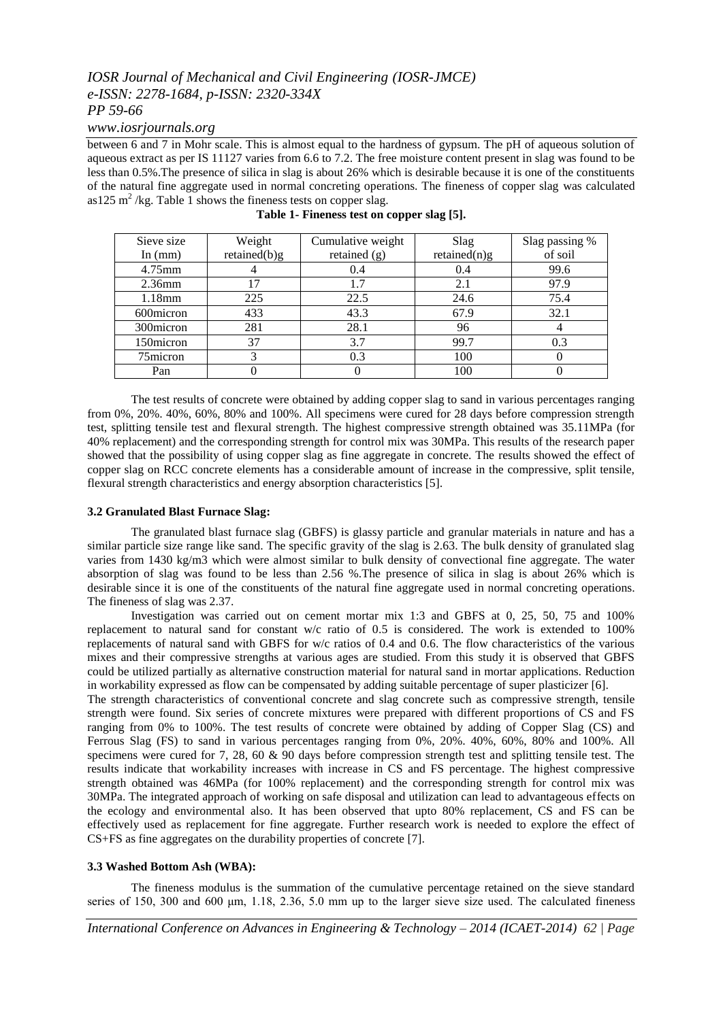*www.iosrjournals.org*

between 6 and 7 in Mohr scale. This is almost equal to the hardness of gypsum. The pH of aqueous solution of aqueous extract as per IS 11127 varies from 6.6 to 7.2. The free moisture content present in slag was found to be less than 0.5%.The presence of silica in slag is about 26% which is desirable because it is one of the constituents of the natural fine aggregate used in normal concreting operations. The fineness of copper slag was calculated as125  $\text{m}^2$ /kg. Table 1 shows the fineness tests on copper slag.

| Sieve size | Weight       | Cumulative weight | Slag         | Slag passing % |
|------------|--------------|-------------------|--------------|----------------|
| In $(mm)$  | retained(b)g | retained $(g)$    | retained(n)g | of soil        |
| 4.75mm     |              | 0.4               | 0.4          | 99.6           |
| $2.36$ mm  |              |                   | 2.1          | 97.9           |
| $1.18$ mm  | 225          | 22.5              | 24.6         | 75.4           |
| 600 micron | 433          | 43.3              | 67.9         | 32.1           |
| 300 micron | 281          | 28.1              | 96           |                |
| 150micron  | 37           | 3.7               | 99.7         | 0.3            |
| 75micron   |              | 0.3               | 100          |                |
| Pan        |              |                   | 100          |                |

**Table 1- Fineness test on copper slag [5].**

The test results of concrete were obtained by adding copper slag to sand in various percentages ranging from 0%, 20%. 40%, 60%, 80% and 100%. All specimens were cured for 28 days before compression strength test, splitting tensile test and flexural strength. The highest compressive strength obtained was 35.11MPa (for 40% replacement) and the corresponding strength for control mix was 30MPa. This results of the research paper showed that the possibility of using copper slag as fine aggregate in concrete. The results showed the effect of copper slag on RCC concrete elements has a considerable amount of increase in the compressive, split tensile, flexural strength characteristics and energy absorption characteristics [5].

#### **3.2 Granulated Blast Furnace Slag:**

The granulated blast furnace slag (GBFS) is glassy particle and granular materials in nature and has a similar particle size range like sand. The specific gravity of the slag is 2.63. The bulk density of granulated slag varies from 1430 kg/m3 which were almost similar to bulk density of convectional fine aggregate. The water absorption of slag was found to be less than 2.56 %.The presence of silica in slag is about 26% which is desirable since it is one of the constituents of the natural fine aggregate used in normal concreting operations. The fineness of slag was 2.37.

Investigation was carried out on cement mortar mix 1:3 and GBFS at 0, 25, 50, 75 and 100% replacement to natural sand for constant w/c ratio of 0.5 is considered. The work is extended to 100% replacements of natural sand with GBFS for w/c ratios of 0.4 and 0.6. The flow characteristics of the various mixes and their compressive strengths at various ages are studied. From this study it is observed that GBFS could be utilized partially as alternative construction material for natural sand in mortar applications. Reduction in workability expressed as flow can be compensated by adding suitable percentage of super plasticizer [6].

The strength characteristics of conventional concrete and slag concrete such as compressive strength, tensile strength were found. Six series of concrete mixtures were prepared with different proportions of CS and FS ranging from 0% to 100%. The test results of concrete were obtained by adding of Copper Slag (CS) and Ferrous Slag (FS) to sand in various percentages ranging from 0%, 20%. 40%, 60%, 80% and 100%. All specimens were cured for 7, 28, 60 & 90 days before compression strength test and splitting tensile test. The results indicate that workability increases with increase in CS and FS percentage. The highest compressive strength obtained was 46MPa (for 100% replacement) and the corresponding strength for control mix was 30MPa. The integrated approach of working on safe disposal and utilization can lead to advantageous effects on the ecology and environmental also. It has been observed that upto 80% replacement, CS and FS can be effectively used as replacement for fine aggregate. Further research work is needed to explore the effect of CS+FS as fine aggregates on the durability properties of concrete [7].

#### **3.3 Washed Bottom Ash (WBA):**

The fineness modulus is the summation of the cumulative percentage retained on the sieve standard series of 150, 300 and 600 μm, 1.18, 2.36, 5.0 mm up to the larger sieve size used. The calculated fineness

*International Conference on Advances in Engineering & Technology – 2014 (ICAET-2014) 62 | Page*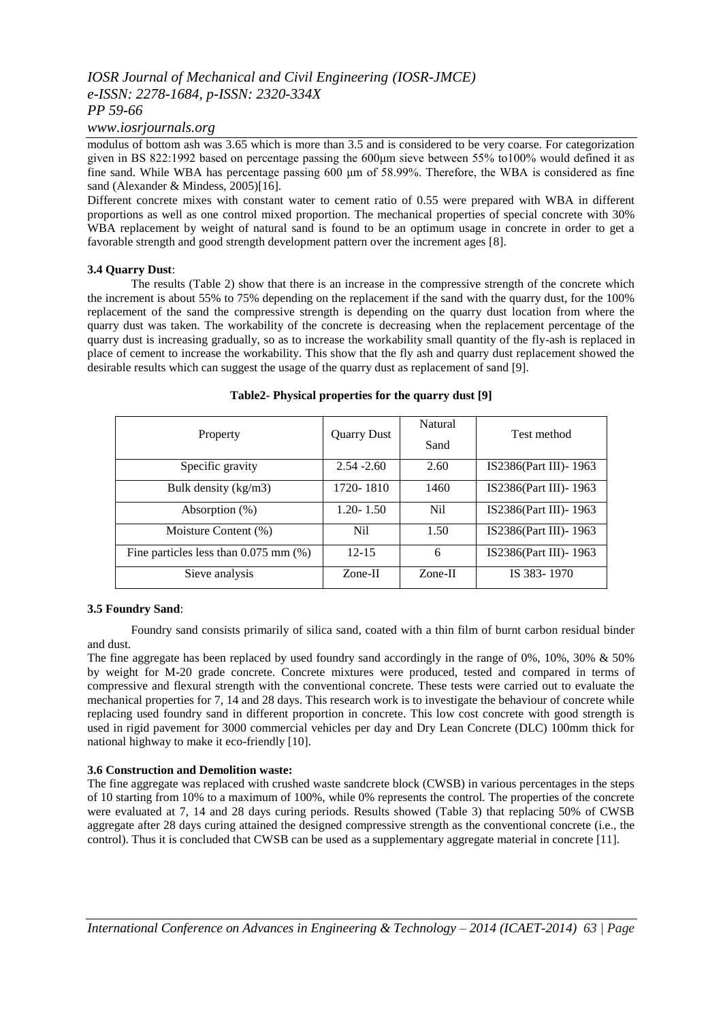#### *www.iosrjournals.org*

modulus of bottom ash was 3.65 which is more than 3.5 and is considered to be very coarse. For categorization given in BS 822:1992 based on percentage passing the 600μm sieve between 55% to100% would defined it as fine sand. While WBA has percentage passing 600 μm of 58.99%. Therefore, the WBA is considered as fine sand (Alexander & Mindess, 2005)[16].

Different concrete mixes with constant water to cement ratio of 0.55 were prepared with WBA in different proportions as well as one control mixed proportion. The mechanical properties of special concrete with 30% WBA replacement by weight of natural sand is found to be an optimum usage in concrete in order to get a favorable strength and good strength development pattern over the increment ages [8].

#### **3.4 Quarry Dust**:

The results (Table 2) show that there is an increase in the compressive strength of the concrete which the increment is about 55% to 75% depending on the replacement if the sand with the quarry dust, for the 100% replacement of the sand the compressive strength is depending on the quarry dust location from where the quarry dust was taken. The workability of the concrete is decreasing when the replacement percentage of the quarry dust is increasing gradually, so as to increase the workability small quantity of the fly-ash is replaced in place of cement to increase the workability. This show that the fly ash and quarry dust replacement showed the desirable results which can suggest the usage of the quarry dust as replacement of sand [9].

| Property                                   | <b>Quarry Dust</b> | Natural<br>Sand | Test method             |
|--------------------------------------------|--------------------|-----------------|-------------------------|
| Specific gravity                           | $2.54 - 2.60$      | 2.60            | IS2386(Part III) - 1963 |
| Bulk density (kg/m3)                       | 1720-1810          | 1460            | IS2386(Part III)-1963   |
| Absorption $(\%)$                          | $1.20 - 1.50$      | N <sub>il</sub> | IS2386(Part III) - 1963 |
| Moisture Content (%)                       | Nil.               | 1.50            | IS2386(Part III)-1963   |
| Fine particles less than $0.075$ mm $(\%)$ | $12 - 15$          | 6               | IS2386(Part III)-1963   |
| Sieve analysis                             | $Zone-II$          | $Zone-II$       | IS 383-1970             |

#### **Table2- Physical properties for the quarry dust [9]**

#### **3.5 Foundry Sand**:

Foundry sand consists primarily of silica sand, coated with a thin film of burnt carbon residual binder and dust.

The fine aggregate has been replaced by used foundry sand accordingly in the range of 0%, 10%, 30% & 50% by weight for M-20 grade concrete. Concrete mixtures were produced, tested and compared in terms of compressive and flexural strength with the conventional concrete. These tests were carried out to evaluate the mechanical properties for 7, 14 and 28 days. This research work is to investigate the behaviour of concrete while replacing used foundry sand in different proportion in concrete. This low cost concrete with good strength is used in rigid pavement for 3000 commercial vehicles per day and Dry Lean Concrete (DLC) 100mm thick for national highway to make it eco-friendly [10].

#### **3.6 Construction and Demolition waste:**

The fine aggregate was replaced with crushed waste sandcrete block (CWSB) in various percentages in the steps of 10 starting from 10% to a maximum of 100%, while 0% represents the control. The properties of the concrete were evaluated at 7, 14 and 28 days curing periods. Results showed (Table 3) that replacing 50% of CWSB aggregate after 28 days curing attained the designed compressive strength as the conventional concrete (i.e., the control). Thus it is concluded that CWSB can be used as a supplementary aggregate material in concrete [11].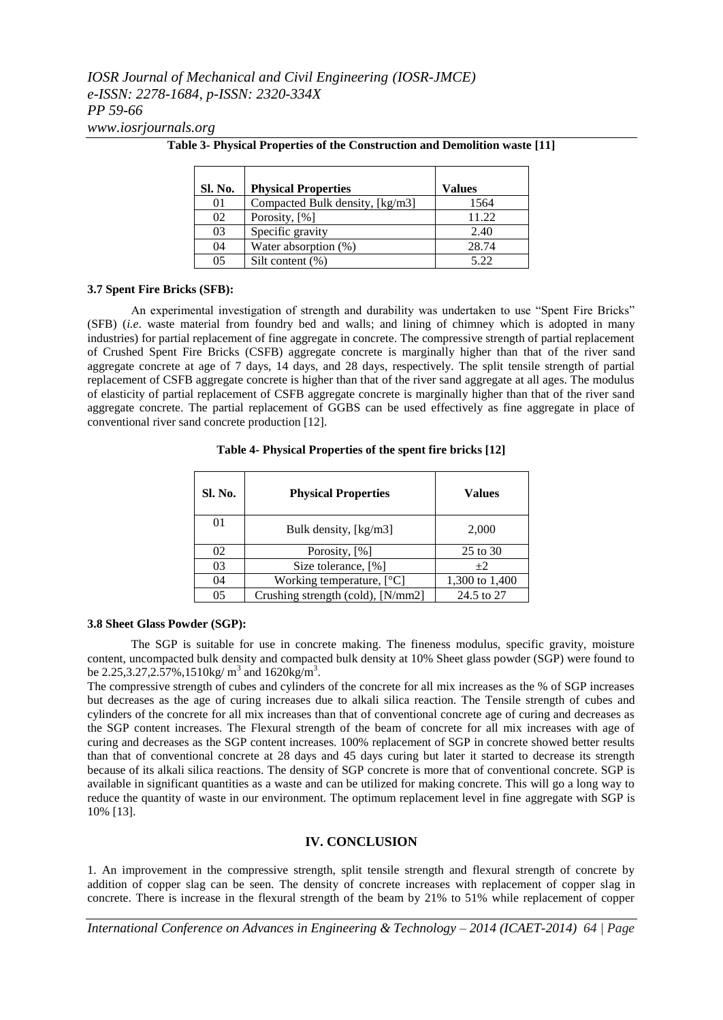*www.iosrjournals.org*

| Sl. No.        | <b>Physical Properties</b>      | Values |
|----------------|---------------------------------|--------|
| 01             | Compacted Bulk density, [kg/m3] | 1564   |
| 02             | Porosity, [%]                   | 11.22  |
| 03             | Specific gravity                | 2.40   |
| 04             | Water absorption (%)            | 28.74  |
| 0 <sub>5</sub> | Silt content $(\% )$            | 5.22   |

**Table 3- Physical Properties of the Construction and Demolition waste [11]**

#### **3.7 Spent Fire Bricks (SFB):**

An experimental investigation of strength and durability was undertaken to use "Spent Fire Bricks" (SFB) (*i.e*. waste material from foundry bed and walls; and lining of chimney which is adopted in many industries) for partial replacement of fine aggregate in concrete. The compressive strength of partial replacement of Crushed Spent Fire Bricks (CSFB) aggregate concrete is marginally higher than that of the river sand aggregate concrete at age of 7 days, 14 days, and 28 days, respectively. The split tensile strength of partial replacement of CSFB aggregate concrete is higher than that of the river sand aggregate at all ages. The modulus of elasticity of partial replacement of CSFB aggregate concrete is marginally higher than that of the river sand aggregate concrete. The partial replacement of GGBS can be used effectively as fine aggregate in place of conventional river sand concrete production [12].

#### **Table 4- Physical Properties of the spent fire bricks [12]**

| Sl. No. | <b>Physical Properties</b>        | Values         |
|---------|-----------------------------------|----------------|
| 01      | Bulk density, [kg/m3]             | 2,000          |
| 02      | Porosity, [%]                     | 25 to 30       |
| 03      | Size tolerance, [%]               | $+2$           |
| 04      | Working temperature, $[°C]$       | 1,300 to 1,400 |
| 05      | Crushing strength (cold), [N/mm2] | 24.5 to 27     |

#### **3.8 Sheet Glass Powder (SGP):**

The SGP is suitable for use in concrete making. The fineness modulus, specific gravity, moisture content, uncompacted bulk density and compacted bulk density at 10% Sheet glass powder (SGP) were found to be 2.25,3.27,2.57%,1510kg/  $m^3$  and 1620kg/ $m^3$ .

The compressive strength of cubes and cylinders of the concrete for all mix increases as the % of SGP increases but decreases as the age of curing increases due to alkali silica reaction. The Tensile strength of cubes and cylinders of the concrete for all mix increases than that of conventional concrete age of curing and decreases as the SGP content increases. The Flexural strength of the beam of concrete for all mix increases with age of curing and decreases as the SGP content increases. 100% replacement of SGP in concrete showed better results than that of conventional concrete at 28 days and 45 days curing but later it started to decrease its strength because of its alkali silica reactions. The density of SGP concrete is more that of conventional concrete. SGP is available in significant quantities as a waste and can be utilized for making concrete. This will go a long way to reduce the quantity of waste in our environment. The optimum replacement level in fine aggregate with SGP is 10% [13].

#### **IV. CONCLUSION**

1. An improvement in the compressive strength, split tensile strength and flexural strength of concrete by addition of copper slag can be seen. The density of concrete increases with replacement of copper slag in concrete. There is increase in the flexural strength of the beam by 21% to 51% while replacement of copper

*International Conference on Advances in Engineering & Technology – 2014 (ICAET-2014) 64 | Page*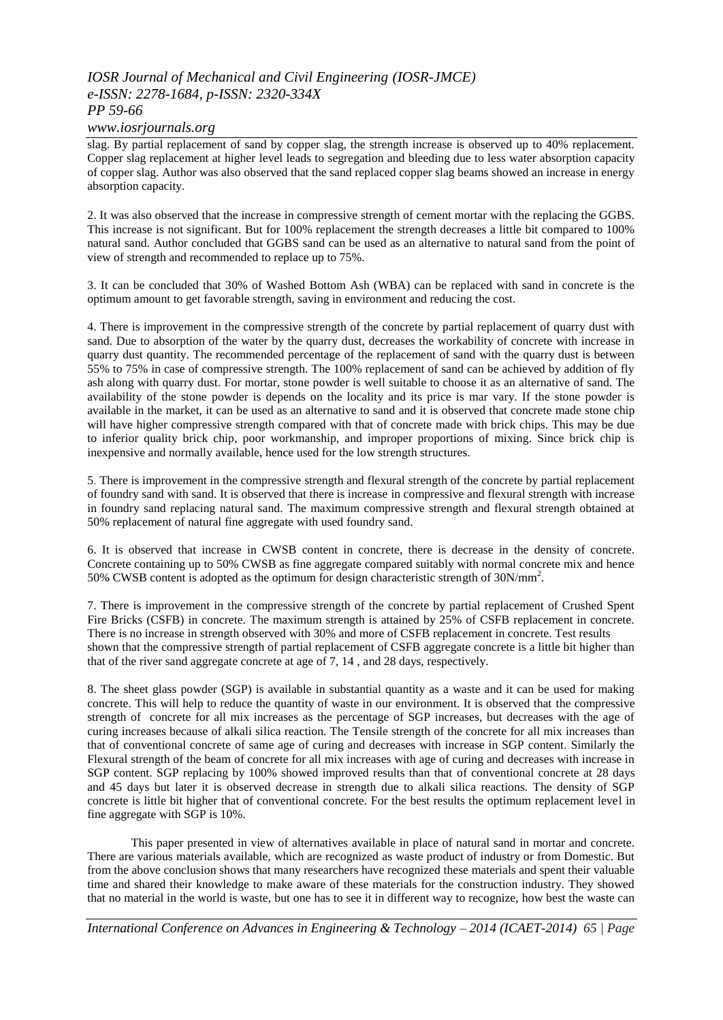*www.iosrjournals.org*

slag. By partial replacement of sand by copper slag, the strength increase is observed up to 40% replacement. Copper slag replacement at higher level leads to segregation and bleeding due to less water absorption capacity of copper slag. Author was also observed that the sand replaced copper slag beams showed an increase in energy absorption capacity.

2. It was also observed that the increase in compressive strength of cement mortar with the replacing the GGBS. This increase is not significant. But for 100% replacement the strength decreases a little bit compared to 100% natural sand. Author concluded that GGBS sand can be used as an alternative to natural sand from the point of view of strength and recommended to replace up to 75%.

3. It can be concluded that 30% of Washed Bottom Ash (WBA) can be replaced with sand in concrete is the optimum amount to get favorable strength, saving in environment and reducing the cost.

4. There is improvement in the compressive strength of the concrete by partial replacement of quarry dust with sand. Due to absorption of the water by the quarry dust, decreases the workability of concrete with increase in quarry dust quantity. The recommended percentage of the replacement of sand with the quarry dust is between 55% to 75% in case of compressive strength. The 100% replacement of sand can be achieved by addition of fly ash along with quarry dust. For mortar, stone powder is well suitable to choose it as an alternative of sand. The availability of the stone powder is depends on the locality and its price is mar vary. If the stone powder is available in the market, it can be used as an alternative to sand and it is observed that concrete made stone chip will have higher compressive strength compared with that of concrete made with brick chips. This may be due to inferior quality brick chip, poor workmanship, and improper proportions of mixing. Since brick chip is inexpensive and normally available, hence used for the low strength structures.

5. There is improvement in the compressive strength and flexural strength of the concrete by partial replacement of foundry sand with sand. It is observed that there is increase in compressive and flexural strength with increase in foundry sand replacing natural sand. The maximum compressive strength and flexural strength obtained at 50% replacement of natural fine aggregate with used foundry sand.

6. It is observed that increase in CWSB content in concrete, there is decrease in the density of concrete. Concrete containing up to 50% CWSB as fine aggregate compared suitably with normal concrete mix and hence 50% CWSB content is adopted as the optimum for design characteristic strength of 30N/mm<sup>2</sup> .

7. There is improvement in the compressive strength of the concrete by partial replacement of Crushed Spent Fire Bricks (CSFB) in concrete. The maximum strength is attained by 25% of CSFB replacement in concrete. There is no increase in strength observed with 30% and more of CSFB replacement in concrete. Test results shown that the compressive strength of partial replacement of CSFB aggregate concrete is a little bit higher than that of the river sand aggregate concrete at age of 7, 14 , and 28 days, respectively.

8. The sheet glass powder (SGP) is available in substantial quantity as a waste and it can be used for making concrete. This will help to reduce the quantity of waste in our environment. It is observed that the compressive strength of concrete for all mix increases as the percentage of SGP increases, but decreases with the age of curing increases because of alkali silica reaction. The Tensile strength of the concrete for all mix increases than that of conventional concrete of same age of curing and decreases with increase in SGP content. Similarly the Flexural strength of the beam of concrete for all mix increases with age of curing and decreases with increase in SGP content. SGP replacing by 100% showed improved results than that of conventional concrete at 28 days and 45 days but later it is observed decrease in strength due to alkali silica reactions. The density of SGP concrete is little bit higher that of conventional concrete. For the best results the optimum replacement level in fine aggregate with SGP is 10%.

This paper presented in view of alternatives available in place of natural sand in mortar and concrete. There are various materials available, which are recognized as waste product of industry or from Domestic. But from the above conclusion shows that many researchers have recognized these materials and spent their valuable time and shared their knowledge to make aware of these materials for the construction industry. They showed that no material in the world is waste, but one has to see it in different way to recognize, how best the waste can

*International Conference on Advances in Engineering & Technology – 2014 (ICAET-2014) 65 | Page*